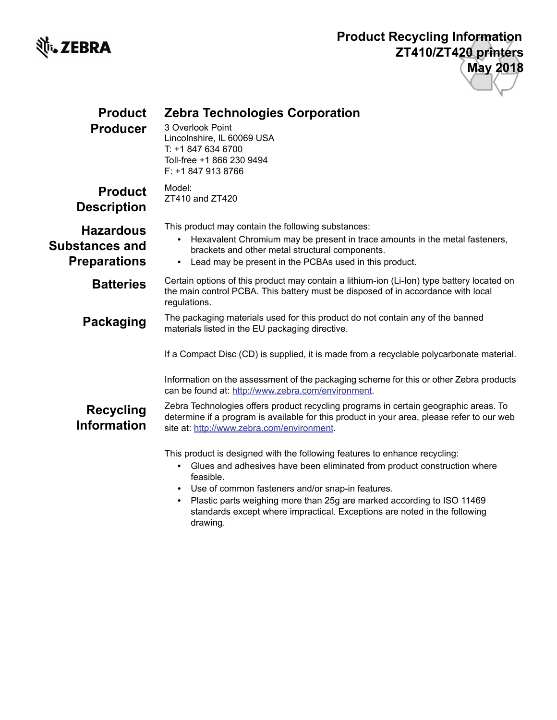

## **Product Recycling Information ZT410/ZT420 printers May 2018**

| <b>Product</b><br><b>Producer</b>                         | <b>Zebra Technologies Corporation</b><br>3 Overlook Point<br>Lincolnshire, IL 60069 USA<br>T: +1 847 634 6700<br>Toll-free +1 866 230 9494<br>F: +1 847 913 8766                                                                                                                                                            |
|-----------------------------------------------------------|-----------------------------------------------------------------------------------------------------------------------------------------------------------------------------------------------------------------------------------------------------------------------------------------------------------------------------|
| <b>Product</b><br><b>Description</b>                      | Model:<br>ZT410 and ZT420                                                                                                                                                                                                                                                                                                   |
| <b>Hazardous</b><br>Substances and<br><b>Preparations</b> | This product may contain the following substances:<br>Hexavalent Chromium may be present in trace amounts in the metal fasteners,<br>brackets and other metal structural components.<br>Lead may be present in the PCBAs used in this product.<br>$\bullet$                                                                 |
| <b>Batteries</b>                                          | Certain options of this product may contain a lithium-ion (Li-lon) type battery located on<br>the main control PCBA. This battery must be disposed of in accordance with local<br>regulations.                                                                                                                              |
| <b>Packaging</b>                                          | The packaging materials used for this product do not contain any of the banned<br>materials listed in the EU packaging directive.                                                                                                                                                                                           |
|                                                           | If a Compact Disc (CD) is supplied, it is made from a recyclable polycarbonate material.                                                                                                                                                                                                                                    |
|                                                           | Information on the assessment of the packaging scheme for this or other Zebra products<br>can be found at: http://www.zebra.com/environment.                                                                                                                                                                                |
| <b>Recycling</b><br><b>Information</b>                    | Zebra Technologies offers product recycling programs in certain geographic areas. To<br>determine if a program is available for this product in your area, please refer to our web<br>site at: http://www.zebra.com/environment.                                                                                            |
|                                                           | This product is designed with the following features to enhance recycling:<br>Glues and adhesives have been eliminated from product construction where<br>$\bullet$<br>feasible.<br>Use of common fasteners and/or snap-in features.<br>Plastic parts weighing more than 25g are marked according to ISO 11469<br>$\bullet$ |

standards except where impractical. Exceptions are noted in the following drawing.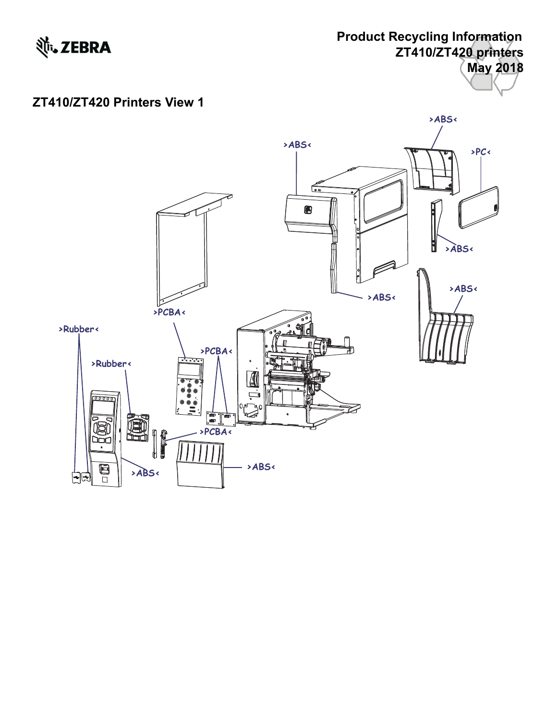

## **Product Recycling Information ZT410/ZT420 printers May 2018**

## **ZT410/ZT420 Printers View 1**